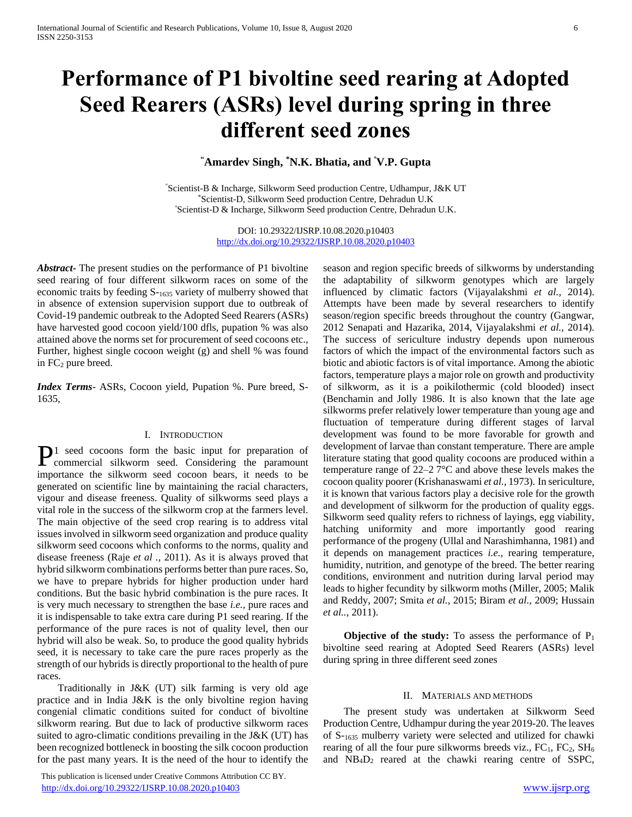# **Performance of P1 bivoltine seed rearing at Adopted Seed Rearers (ASRs) level during spring in three different seed zones**

# **"Amardev Singh, \*N.K. Bhatia, and <sup>º</sup>V.P. Gupta**

"Scientist-B & Incharge, Silkworm Seed production Centre, Udhampur, J&K UT \*Scientist-D, Silkworm Seed production Centre, Dehradun U.K <sup>º</sup>Scientist-D & Incharge, Silkworm Seed production Centre, Dehradun U.K.

> DOI: 10.29322/IJSRP.10.08.2020.p10403 <http://dx.doi.org/10.29322/IJSRP.10.08.2020.p10403>

*Abstract***-** The present studies on the performance of P1 bivoltine seed rearing of four different silkworm races on some of the economic traits by feeding S-<sup>1635</sup> variety of mulberry showed that in absence of extension supervision support due to outbreak of Covid-19 pandemic outbreak to the Adopted Seed Rearers (ASRs) have harvested good cocoon yield/100 dfls, pupation % was also attained above the norms set for procurement of seed cocoons etc., Further, highest single cocoon weight (g) and shell % was found in  $FC<sub>2</sub>$  pure breed.

*Index Terms*- ASRs, Cocoon yield, Pupation %. Pure breed, S-1635,

#### I. INTRODUCTION

1 seed cocoons form the basic input for preparation of P1 seed cocoons form the basic input for preparation of commercial silkworm seed. Considering the paramount importance the silkworm seed cocoon bears, it needs to be generated on scientific line by maintaining the racial characters, vigour and disease freeness. Quality of silkworms seed plays a vital role in the success of the silkworm crop at the farmers level. The main objective of the seed crop rearing is to address vital issues involved in silkworm seed organization and produce quality silkworm seed cocoons which conforms to the norms, quality and disease freeness (Raje *et al .,* 2011). As it is always proved that hybrid silkworm combinations performs better than pure races. So, we have to prepare hybrids for higher production under hard conditions. But the basic hybrid combination is the pure races. It is very much necessary to strengthen the base *i.e.,* pure races and it is indispensable to take extra care during P1 seed rearing. If the performance of the pure races is not of quality level, then our hybrid will also be weak. So, to produce the good quality hybrids seed, it is necessary to take care the pure races properly as the strength of our hybrids is directly proportional to the health of pure races.

 Traditionally in J&K (UT) silk farming is very old age practice and in India J&K is the only bivoltine region having congenial climatic conditions suited for conduct of bivoltine silkworm rearing. But due to lack of productive silkworm races suited to agro-climatic conditions prevailing in the J&K (UT) has been recognized bottleneck in boosting the silk cocoon production for the past many years. It is the need of the hour to identify the

 This publication is licensed under Creative Commons Attribution CC BY. <http://dx.doi.org/10.29322/IJSRP.10.08.2020.p10403> [www.ijsrp.org](http://ijsrp.org/)

season and region specific breeds of silkworms by understanding the adaptability of silkworm genotypes which are largely influenced by climatic factors (Vijayalakshmi *et al.,* 2014). Attempts have been made by several researchers to identify season/region specific breeds throughout the country (Gangwar, 2012 Senapati and Hazarika, 2014, Vijayalakshmi *et al.,* 2014). The success of sericulture industry depends upon numerous factors of which the impact of the environmental factors such as biotic and abiotic factors is of vital importance. Among the abiotic factors, temperature plays a major role on growth and productivity of silkworm, as it is a poikilothermic (cold blooded) insect (Benchamin and Jolly 1986. It is also known that the late age silkworms prefer relatively lower temperature than young age and fluctuation of temperature during different stages of larval development was found to be more favorable for growth and development of larvae than constant temperature. There are ample literature stating that good quality cocoons are produced within a temperature range of 22–2 7°C and above these levels makes the cocoon quality poorer (Krishanaswami *et al.,* 1973). In sericulture, it is known that various factors play a decisive role for the growth and development of silkworm for the production of quality eggs. Silkworm seed quality refers to richness of layings, egg viability, hatching uniformity and more importantly good rearing performance of the progeny (Ullal and Narashimhanna, 1981) and it depends on management practices *i.e.,* rearing temperature, humidity, nutrition, and genotype of the breed. The better rearing conditions, environment and nutrition during larval period may leads to higher fecundity by silkworm moths (Miller, 2005; Malik and Reddy, 2007; Smita *et al.,* 2015; Biram *et al.,* 2009; Hussain *et al..,* 2011).

**Objective of the study:** To assess the performance of  $P_1$ bivoltine seed rearing at Adopted Seed Rearers (ASRs) level during spring in three different seed zones

#### II. MATERIALS AND METHODS

 The present study was undertaken at Silkworm Seed Production Centre, Udhampur during the year 2019-20. The leaves of S-<sup>1635</sup> mulberry variety were selected and utilized for chawki rearing of all the four pure silkworms breeds viz.,  $FC_1$ ,  $FC_2$ ,  $SH_6$ and NB4D<sup>2</sup> reared at the chawki rearing centre of SSPC,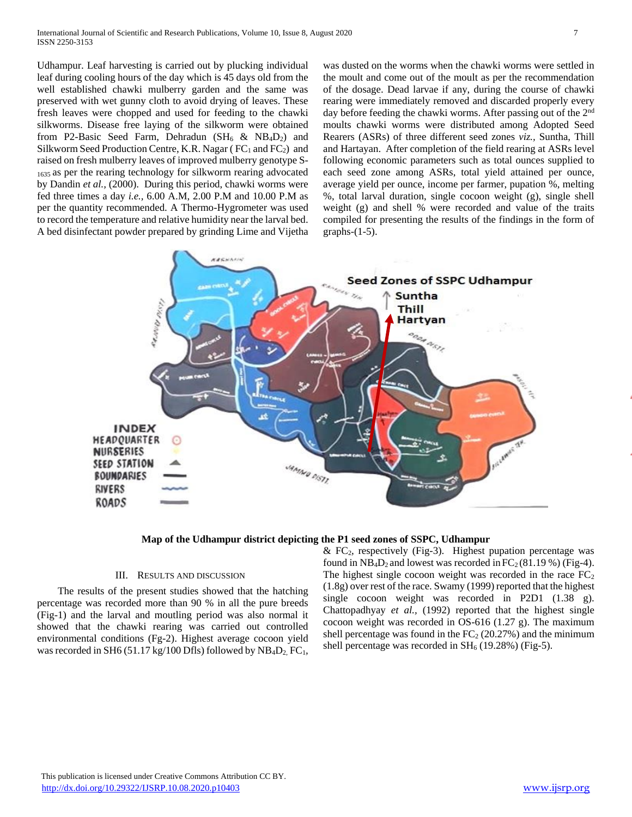Udhampur. Leaf harvesting is carried out by plucking individual leaf during cooling hours of the day which is 45 days old from the well established chawki mulberry garden and the same was preserved with wet gunny cloth to avoid drying of leaves. These fresh leaves were chopped and used for feeding to the chawki silkworms. Disease free laying of the silkworm were obtained from P2-Basic Seed Farm, Dehradun  $(SH_6 \& NB_4D_2)$  and Silkworm Seed Production Centre, K.R. Nagar ( $FC<sub>1</sub>$  and  $FC<sub>2</sub>$ ) and raised on fresh mulberry leaves of improved mulberry genotype S-<sup>1635</sup>as per the rearing technology for silkworm rearing advocated by Dandin *et al.,* (2000). During this period, chawki worms were fed three times a day *i.e.,* 6.00 A.M, 2.00 P.M and 10.00 P.M as per the quantity recommended. A Thermo-Hygrometer was used to record the temperature and relative humidity near the larval bed. A bed disinfectant powder prepared by grinding Lime and Vijetha was dusted on the worms when the chawki worms were settled in the moult and come out of the moult as per the recommendation of the dosage. Dead larvae if any, during the course of chawki rearing were immediately removed and discarded properly every day before feeding the chawki worms. After passing out of the 2<sup>nd</sup> moults chawki worms were distributed among Adopted Seed Rearers (ASRs) of three different seed zones *viz.,* Suntha, Thill and Hartayan. After completion of the field rearing at ASRs level following economic parameters such as total ounces supplied to each seed zone among ASRs, total yield attained per ounce, average yield per ounce, income per farmer, pupation %, melting %, total larval duration, single cocoon weight (g), single shell weight (g) and shell % were recorded and value of the traits compiled for presenting the results of the findings in the form of graphs- $(1-5)$ .



**Map of the Udhampur district depicting the P1 seed zones of SSPC, Udhampur**

### III. RESULTS AND DISCUSSION

 The results of the present studies showed that the hatching percentage was recorded more than 90 % in all the pure breeds (Fig-1) and the larval and moutling period was also normal it showed that the chawki rearing was carried out controlled environmental conditions (Fg-2). Highest average cocoon yield was recorded in SH6 (51.17 kg/100 Dfls) followed by NB<sub>4</sub>D<sub>2</sub>, FC<sub>1</sub>,  $& FC<sub>2</sub>$ , respectively (Fig-3). Highest pupation percentage was found in  $NB_4D_2$  and lowest was recorded in  $FC_2(81.19\%)$  (Fig-4). The highest single cocoon weight was recorded in the race  $FC<sub>2</sub>$ (1.8g) over rest of the race. Swamy (1999) reported that the highest single cocoon weight was recorded in P2D1 (1.38 g). Chattopadhyay *et al.,* (1992) reported that the highest single cocoon weight was recorded in OS-616 (1.27 g). The maximum shell percentage was found in the  $FC<sub>2</sub>$  (20.27%) and the minimum shell percentage was recorded in  $SH_6$  (19.28%) (Fig-5).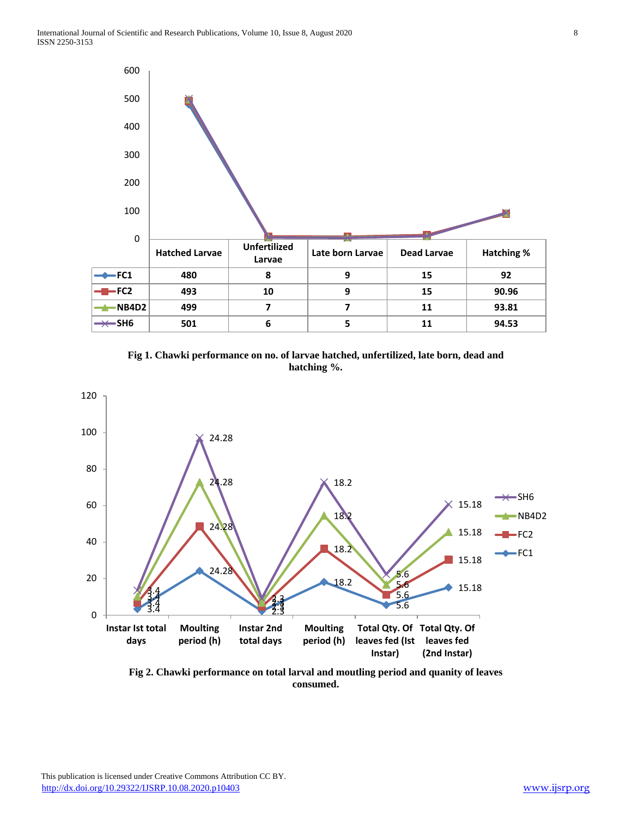





**Fig 2. Chawki performance on total larval and moutling period and quanity of leaves consumed.**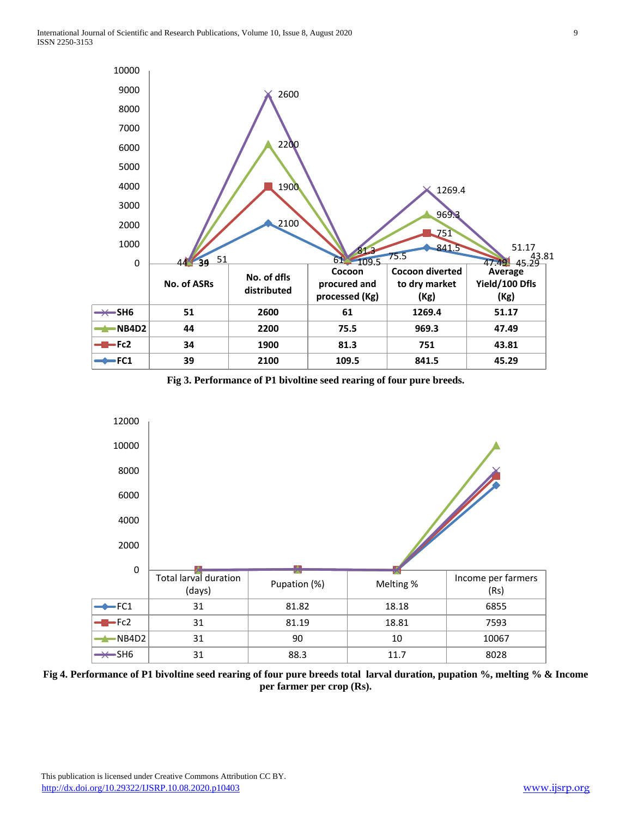

**Fig 3. Performance of P1 bivoltine seed rearing of four pure breeds.**



**Fig 4. Performance of P1 bivoltine seed rearing of four pure breeds total larval duration, pupation %, melting % & Income per farmer per crop (Rs).**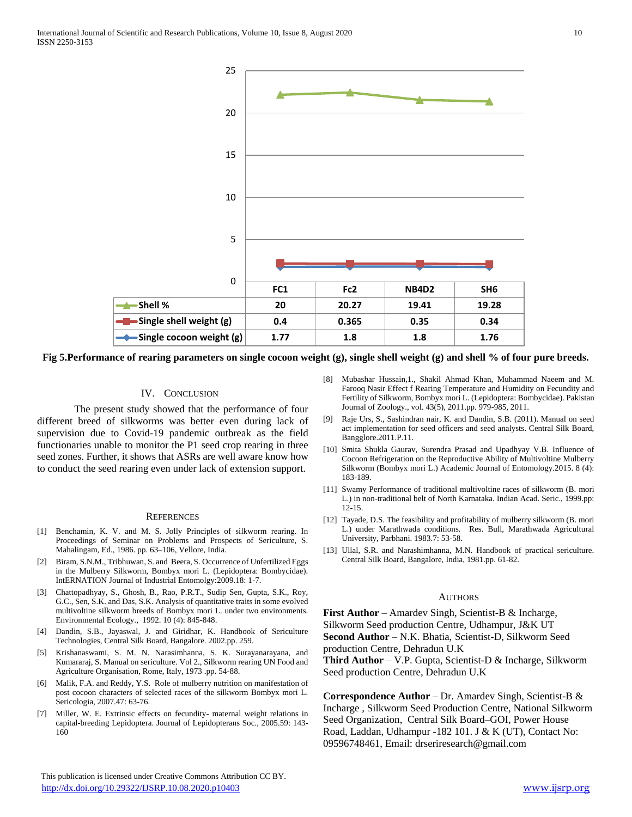

**Fig 5.Performance of rearing parameters on single cocoon weight (g), single shell weight (g) and shell % of four pure breeds.**

### IV. CONCLUSION

The present study showed that the performance of four different breed of silkworms was better even during lack of supervision due to Covid-19 pandemic outbreak as the field functionaries unable to monitor the P1 seed crop rearing in three seed zones. Further, it shows that ASRs are well aware know how to conduct the seed rearing even under lack of extension support.

#### **REFERENCES**

- [1] Benchamin, K. V. and M. S. Jolly Principles of silkworm rearing. In Proceedings of Seminar on Problems and Prospects of Sericulture, S. Mahalingam, Ed., 1986. pp. 63–106, Vellore, India.
- [2] Biram, S.N.M., Tribhuwan, S. and Beera, S. Occurrence of Unfertilized Eggs in the Mulberry Silkworm, Bombyx mori L. (Lepidoptera: Bombycidae). IntERNATION Journal of Industrial Entomolgy:2009.18: 1-7.
- [3] Chattopadhyay, S., Ghosh, B., Rao, P.R.T., Sudip Sen, Gupta, S.K., Roy, G.C., Sen, S.K. and Das, S.K. Analysis of quantitative traits in some evolved multivoltine silkworm breeds of Bombyx mori L. under two environments. Environmental Ecology., 1992. 10 (4): 845-848.
- [4] Dandin, S.B., Jayaswal, J. and Giridhar, K. Handbook of Sericulture Technologies, Central Silk Board, Bangalore. 2002.pp. 259.
- [5] Krishanaswami, S. M. N. Narasimhanna, S. K. Surayanarayana, and Kumararaj, S. Manual on sericulture. Vol 2., Silkworm rearing UN Food and Agriculture Organisation, Rome, Italy, 1973 .pp. 54-88.
- [6] Malik, F.A. and Reddy, Y.S. Role of mulberry nutrition on manifestation of post cocoon characters of selected races of the silkworm Bombyx mori L. Sericologia, 2007.47: 63-76.
- [7] Miller, W. E. Extrinsic effects on fecundity- maternal weight relations in capital-breeding Lepidoptera. Journal of Lepidopterans Soc., 2005.59: 143- 160

[8] Mubashar Hussain,1., Shakil Ahmad Khan, Muhammad Naeem and M. Farooq Nasir Effect f Rearing Temperature and Humidity on Fecundity and Fertility of Silkworm, Bombyx mori L. (Lepidoptera: Bombycidae). Pakistan Journal of Zoology., vol. 43(5), 2011.pp. 979-985, 2011.

- [9] Raje Urs, S., Sashindran nair, K. and Dandin, S.B. (2011). Manual on seed act implementation for seed officers and seed analysts. Central Silk Board, Bangglore.2011.P.11.
- [10] Smita Shukla Gaurav, Surendra Prasad and Upadhyay V.B. Influence of Cocoon Refrigeration on the Reproductive Ability of Multivoltine Mulberry Silkworm (Bombyx mori L.) Academic Journal of Entomology.2015. 8 (4): 183-189.
- [11] Swamy Performance of traditional multivoltine races of silkworm (B. mori L.) in non-traditional belt of North Karnataka. Indian Acad. Seric., 1999.pp: 12-15.
- [12] Tayade, D.S. The feasibility and profitability of mulberry silkworm (B. mori L.) under Marathwada conditions. Res. Bull, Marathwada Agricultural University, Parbhani. 1983.7: 53-58.
- [13] Ullal, S.R. and Narashimhanna, M.N. Handbook of practical sericulture. Central Silk Board, Bangalore, India, 1981.pp. 61-82.

## **AUTHORS**

**First Author** – Amardev Singh, Scientist-B & Incharge, Silkworm Seed production Centre, Udhampur, J&K UT **Second Author** – N.K. Bhatia, Scientist-D, Silkworm Seed production Centre, Dehradun U.K **Third Author** – V.P. Gupta, Scientist-D & Incharge, Silkworm Seed production Centre, Dehradun U.K

**Correspondence Author** – Dr. Amardev Singh, Scientist-B & Incharge , Silkworm Seed Production Centre, National Silkworm Seed Organization, Central Silk Board–GOI, Power House Road, Laddan, Udhampur -182 101. J & K (UT), Contact No: 09596748461, Email: drseriresearch@gmail.com